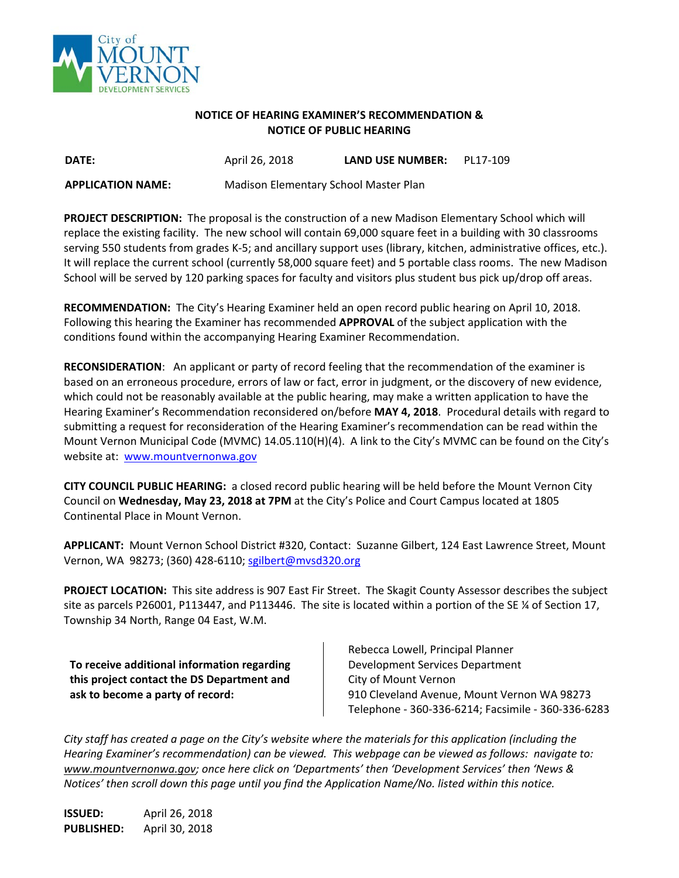

## **NOTICE OF HEARING EXAMINER'S RECOMMENDATION & NOTICE OF PUBLIC HEARING**

**DATE:** April 26, 2018 **LAND USE NUMBER:** PL17-109

**APPLICATION NAME:** Madison Elementary School Master Plan

**PROJECT DESCRIPTION:** The proposal is the construction of a new Madison Elementary School which will replace the existing facility. The new school will contain 69,000 square feet in a building with 30 classrooms serving 550 students from grades K-5; and ancillary support uses (library, kitchen, administrative offices, etc.). It will replace the current school (currently 58,000 square feet) and 5 portable class rooms. The new Madison School will be served by 120 parking spaces for faculty and visitors plus student bus pick up/drop off areas.

**RECOMMENDATION:** The City's Hearing Examiner held an open record public hearing on April 10, 2018. Following this hearing the Examiner has recommended **APPROVAL** of the subject application with the conditions found within the accompanying Hearing Examiner Recommendation.

**RECONSIDERATION**: An applicant or party of record feeling that the recommendation of the examiner is based on an erroneous procedure, errors of law or fact, error in judgment, or the discovery of new evidence, which could not be reasonably available at the public hearing, may make a written application to have the Hearing Examiner's Recommendation reconsidered on/before **MAY 4, 2018**. Procedural details with regard to submitting a request for reconsideration of the Hearing Examiner's recommendation can be read within the Mount Vernon Municipal Code (MVMC) 14.05.110(H)(4). A link to the City's MVMC can be found on the City's website at: [www.mountvernonwa.gov](http://www.mountvernonwa.gov/)

**CITY COUNCIL PUBLIC HEARING:** a closed record public hearing will be held before the Mount Vernon City Council on **Wednesday, May 23, 2018 at 7PM** at the City's Police and Court Campus located at 1805 Continental Place in Mount Vernon.

**APPLICANT:** Mount Vernon School District #320, Contact: Suzanne Gilbert, 124 East Lawrence Street, Mount Vernon, WA 98273; (360) 428-6110; [sgilbert@mvsd320.org](mailto:sgilbert@mvsd320.org)

**PROJECT LOCATION:** This site address is 907 East Fir Street. The Skagit County Assessor describes the subject site as parcels P26001, P113447, and P113446. The site is located within a portion of the SE ¼ of Section 17, Township 34 North, Range 04 East, W.M.

**To receive additional information regarding this project contact the DS Department and ask to become a party of record:**

Rebecca Lowell, Principal Planner Development Services Department City of Mount Vernon 910 Cleveland Avenue, Mount Vernon WA 98273 Telephone - 360-336-6214; Facsimile - 360-336-6283

*City staff has created a page on the City's website where the materials for this application (including the Hearing Examiner's recommendation) can be viewed. This webpage can be viewed as follows: navigate to: [www.mountvernonwa.gov;](http://www.mountvernonwa.gov/) once here click on 'Departments' then 'Development Services' then 'News & Notices' then scroll down this page until you find the Application Name/No. listed within this notice.* 

**ISSUED:** April 26, 2018 **PUBLISHED:** April 30, 2018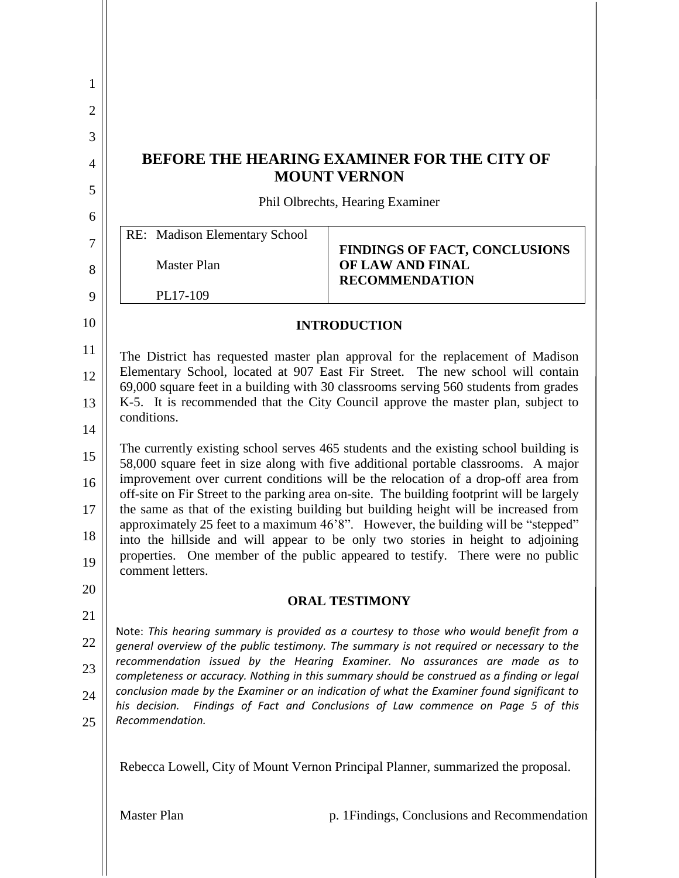| 1              |                                                                                                                                                                                                                                                            |                                                                                                                                                                            |  |
|----------------|------------------------------------------------------------------------------------------------------------------------------------------------------------------------------------------------------------------------------------------------------------|----------------------------------------------------------------------------------------------------------------------------------------------------------------------------|--|
| $\overline{2}$ |                                                                                                                                                                                                                                                            |                                                                                                                                                                            |  |
| 3              |                                                                                                                                                                                                                                                            |                                                                                                                                                                            |  |
| $\overline{4}$ | <b>BEFORE THE HEARING EXAMINER FOR THE CITY OF</b><br><b>MOUNT VERNON</b>                                                                                                                                                                                  |                                                                                                                                                                            |  |
| 5              | Phil Olbrechts, Hearing Examiner                                                                                                                                                                                                                           |                                                                                                                                                                            |  |
| 6              |                                                                                                                                                                                                                                                            |                                                                                                                                                                            |  |
| 7              | RE: Madison Elementary School                                                                                                                                                                                                                              | <b>FINDINGS OF FACT, CONCLUSIONS</b>                                                                                                                                       |  |
| 8              | <b>Master Plan</b>                                                                                                                                                                                                                                         | OF LAW AND FINAL<br><b>RECOMMENDATION</b>                                                                                                                                  |  |
| 9              | PL17-109                                                                                                                                                                                                                                                   |                                                                                                                                                                            |  |
| 10             | <b>INTRODUCTION</b>                                                                                                                                                                                                                                        |                                                                                                                                                                            |  |
| 11             | The District has requested master plan approval for the replacement of Madison                                                                                                                                                                             |                                                                                                                                                                            |  |
| 12             | Elementary School, located at 907 East Fir Street. The new school will contain<br>69,000 square feet in a building with 30 classrooms serving 560 students from grades<br>K-5. It is recommended that the City Council approve the master plan, subject to |                                                                                                                                                                            |  |
| 13             |                                                                                                                                                                                                                                                            |                                                                                                                                                                            |  |
| 14             | conditions.<br>The currently existing school serves 465 students and the existing school building is<br>58,000 square feet in size along with five additional portable classrooms. A major                                                                 |                                                                                                                                                                            |  |
| 15             |                                                                                                                                                                                                                                                            |                                                                                                                                                                            |  |
| 16             | improvement over current conditions will be the relocation of a drop-off area from<br>off-site on Fir Street to the parking area on-site. The building footprint will be largely                                                                           |                                                                                                                                                                            |  |
| 17             |                                                                                                                                                                                                                                                            | the same as that of the existing building but building height will be increased from<br>approximately 25 feet to a maximum 46'8". However, the building will be "stepped"  |  |
| 18             |                                                                                                                                                                                                                                                            | into the hillside and will appear to be only two stories in height to adjoining                                                                                            |  |
| 19             | comment letters.                                                                                                                                                                                                                                           | properties. One member of the public appeared to testify. There were no public                                                                                             |  |
| 20             | <b>ORAL TESTIMONY</b>                                                                                                                                                                                                                                      |                                                                                                                                                                            |  |
| 21             |                                                                                                                                                                                                                                                            |                                                                                                                                                                            |  |
| 22             | Note: This hearing summary is provided as a courtesy to those who would benefit from a<br>general overview of the public testimony. The summary is not required or necessary to the                                                                        |                                                                                                                                                                            |  |
| 23             |                                                                                                                                                                                                                                                            | recommendation issued by the Hearing Examiner. No assurances are made as to<br>completeness or accuracy. Nothing in this summary should be construed as a finding or legal |  |
| 24             | his decision.                                                                                                                                                                                                                                              | conclusion made by the Examiner or an indication of what the Examiner found significant to<br>Findings of Fact and Conclusions of Law commence on Page 5 of this           |  |
| 25             | Recommendation.                                                                                                                                                                                                                                            |                                                                                                                                                                            |  |
|                |                                                                                                                                                                                                                                                            | Rebecca Lowell, City of Mount Vernon Principal Planner, summarized the proposal.                                                                                           |  |
|                | <b>Master Plan</b>                                                                                                                                                                                                                                         | p. 1 Findings, Conclusions and Recommendation                                                                                                                              |  |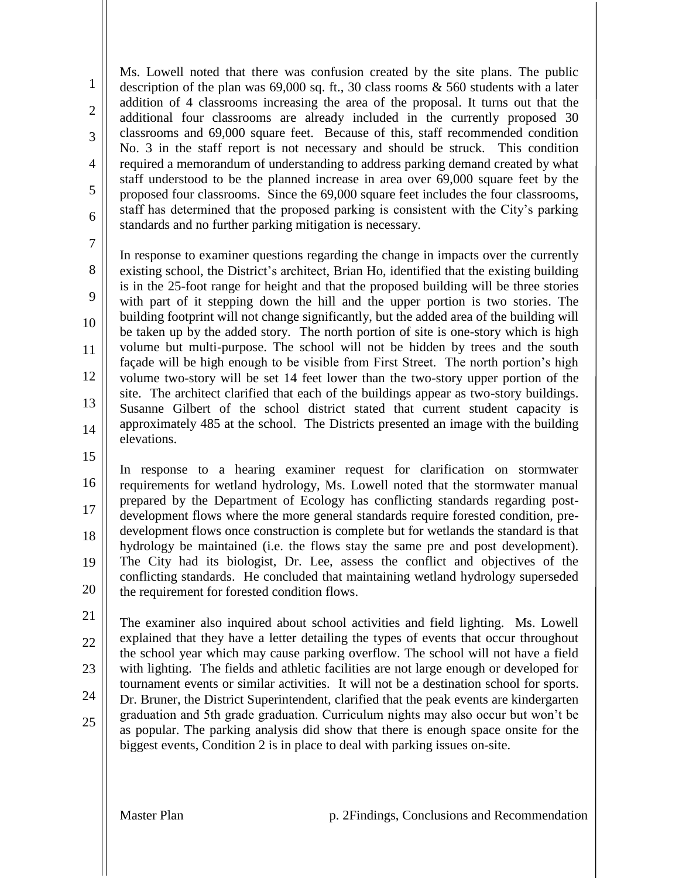Ms. Lowell noted that there was confusion created by the site plans. The public description of the plan was 69,000 sq. ft., 30 class rooms & 560 students with a later addition of 4 classrooms increasing the area of the proposal. It turns out that the additional four classrooms are already included in the currently proposed 30 classrooms and 69,000 square feet. Because of this, staff recommended condition No. 3 in the staff report is not necessary and should be struck. This condition required a memorandum of understanding to address parking demand created by what staff understood to be the planned increase in area over 69,000 square feet by the proposed four classrooms. Since the 69,000 square feet includes the four classrooms, staff has determined that the proposed parking is consistent with the City's parking standards and no further parking mitigation is necessary.

7

9

10

11

1

2

3

4

5

6

8 12 13 In response to examiner questions regarding the change in impacts over the currently existing school, the District's architect, Brian Ho, identified that the existing building is in the 25-foot range for height and that the proposed building will be three stories with part of it stepping down the hill and the upper portion is two stories. The building footprint will not change significantly, but the added area of the building will be taken up by the added story. The north portion of site is one-story which is high volume but multi-purpose. The school will not be hidden by trees and the south façade will be high enough to be visible from First Street. The north portion's high volume two-story will be set 14 feet lower than the two-story upper portion of the site. The architect clarified that each of the buildings appear as two-story buildings. Susanne Gilbert of the school district stated that current student capacity is approximately 485 at the school. The Districts presented an image with the building elevations.

15

14

16 17 18 19 20 In response to a hearing examiner request for clarification on stormwater requirements for wetland hydrology, Ms. Lowell noted that the stormwater manual prepared by the Department of Ecology has conflicting standards regarding postdevelopment flows where the more general standards require forested condition, predevelopment flows once construction is complete but for wetlands the standard is that hydrology be maintained (i.e. the flows stay the same pre and post development). The City had its biologist, Dr. Lee, assess the conflict and objectives of the conflicting standards. He concluded that maintaining wetland hydrology superseded the requirement for forested condition flows.

21 22 23 24 25 The examiner also inquired about school activities and field lighting. Ms. Lowell explained that they have a letter detailing the types of events that occur throughout the school year which may cause parking overflow. The school will not have a field with lighting. The fields and athletic facilities are not large enough or developed for tournament events or similar activities. It will not be a destination school for sports. Dr. Bruner, the District Superintendent, clarified that the peak events are kindergarten graduation and 5th grade graduation. Curriculum nights may also occur but won't be as popular. The parking analysis did show that there is enough space onsite for the biggest events, Condition 2 is in place to deal with parking issues on-site.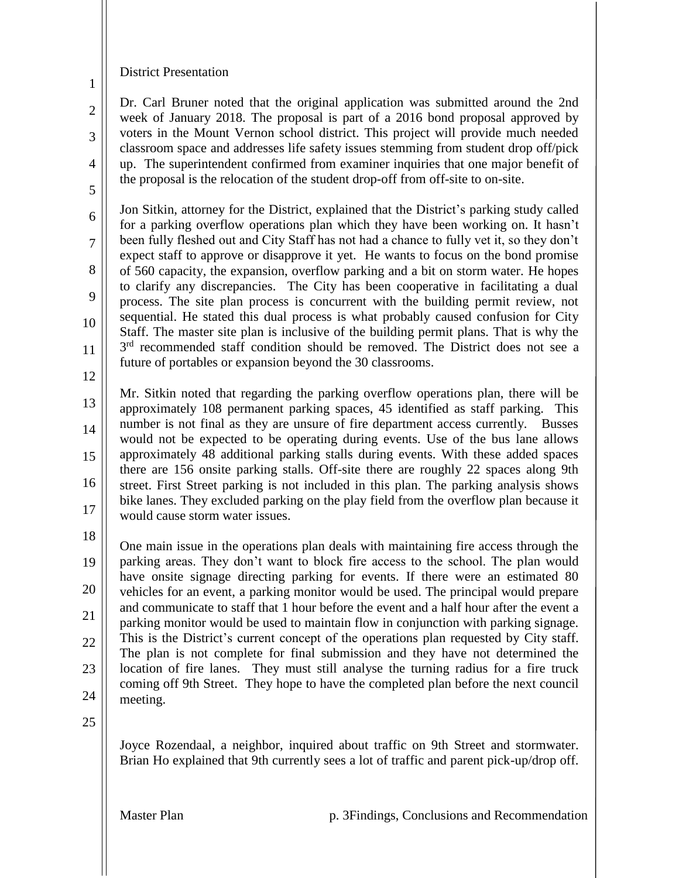## District Presentation

Dr. Carl Bruner noted that the original application was submitted around the 2nd week of January 2018. The proposal is part of a 2016 bond proposal approved by voters in the Mount Vernon school district. This project will provide much needed classroom space and addresses life safety issues stemming from student drop off/pick up. The superintendent confirmed from examiner inquiries that one major benefit of the proposal is the relocation of the student drop-off from off-site to on-site.

6 7 8 9 10 11 Jon Sitkin, attorney for the District, explained that the District's parking study called for a parking overflow operations plan which they have been working on. It hasn't been fully fleshed out and City Staff has not had a chance to fully vet it, so they don't expect staff to approve or disapprove it yet. He wants to focus on the bond promise of 560 capacity, the expansion, overflow parking and a bit on storm water. He hopes to clarify any discrepancies. The City has been cooperative in facilitating a dual process. The site plan process is concurrent with the building permit review, not sequential. He stated this dual process is what probably caused confusion for City Staff. The master site plan is inclusive of the building permit plans. That is why the 3<sup>rd</sup> recommended staff condition should be removed. The District does not see a future of portables or expansion beyond the 30 classrooms.

12

1

2

3

4

5

13 14 15 16 17 Mr. Sitkin noted that regarding the parking overflow operations plan, there will be approximately 108 permanent parking spaces, 45 identified as staff parking. This number is not final as they are unsure of fire department access currently. Busses would not be expected to be operating during events. Use of the bus lane allows approximately 48 additional parking stalls during events. With these added spaces there are 156 onsite parking stalls. Off-site there are roughly 22 spaces along 9th street. First Street parking is not included in this plan. The parking analysis shows bike lanes. They excluded parking on the play field from the overflow plan because it would cause storm water issues.

18

19 20 21 22 23 24 One main issue in the operations plan deals with maintaining fire access through the parking areas. They don't want to block fire access to the school. The plan would have onsite signage directing parking for events. If there were an estimated 80 vehicles for an event, a parking monitor would be used. The principal would prepare and communicate to staff that 1 hour before the event and a half hour after the event a parking monitor would be used to maintain flow in conjunction with parking signage. This is the District's current concept of the operations plan requested by City staff. The plan is not complete for final submission and they have not determined the location of fire lanes. They must still analyse the turning radius for a fire truck coming off 9th Street. They hope to have the completed plan before the next council meeting.

25

Joyce Rozendaal, a neighbor, inquired about traffic on 9th Street and stormwater. Brian Ho explained that 9th currently sees a lot of traffic and parent pick-up/drop off.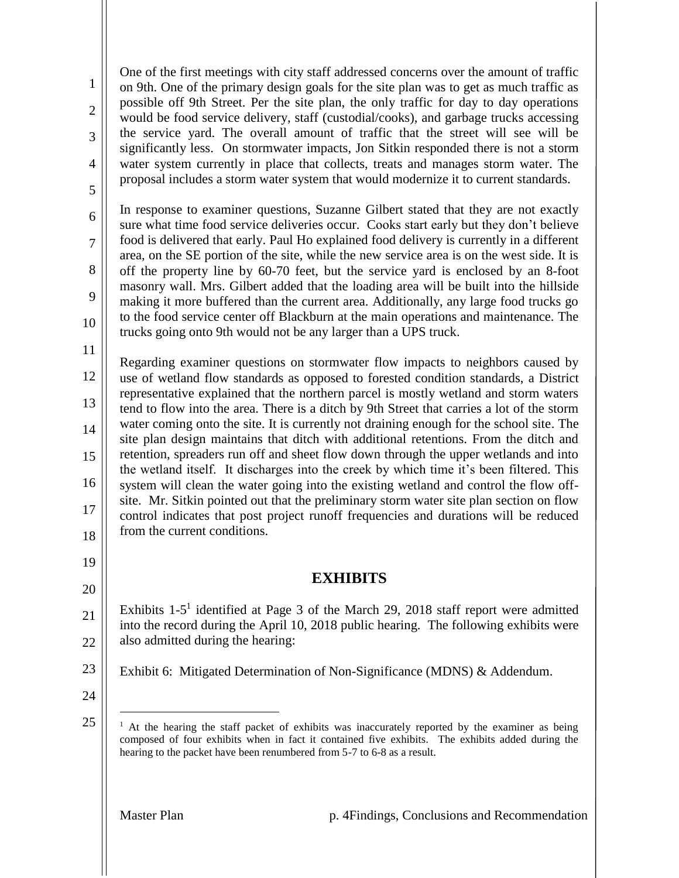One of the first meetings with city staff addressed concerns over the amount of traffic on 9th. One of the primary design goals for the site plan was to get as much traffic as possible off 9th Street. Per the site plan, the only traffic for day to day operations would be food service delivery, staff (custodial/cooks), and garbage trucks accessing the service yard. The overall amount of traffic that the street will see will be significantly less. On stormwater impacts, Jon Sitkin responded there is not a storm water system currently in place that collects, treats and manages storm water. The proposal includes a storm water system that would modernize it to current standards.

6 7 8 9 10 In response to examiner questions, Suzanne Gilbert stated that they are not exactly sure what time food service deliveries occur. Cooks start early but they don't believe food is delivered that early. Paul Ho explained food delivery is currently in a different area, on the SE portion of the site, while the new service area is on the west side. It is off the property line by 60-70 feet, but the service yard is enclosed by an 8-foot masonry wall. Mrs. Gilbert added that the loading area will be built into the hillside making it more buffered than the current area. Additionally, any large food trucks go to the food service center off Blackburn at the main operations and maintenance. The trucks going onto 9th would not be any larger than a UPS truck.

11

1

2

3

4

5

12 13 14 15 16 17 18 Regarding examiner questions on stormwater flow impacts to neighbors caused by use of wetland flow standards as opposed to forested condition standards, a District representative explained that the northern parcel is mostly wetland and storm waters tend to flow into the area. There is a ditch by 9th Street that carries a lot of the storm water coming onto the site. It is currently not draining enough for the school site. The site plan design maintains that ditch with additional retentions. From the ditch and retention, spreaders run off and sheet flow down through the upper wetlands and into the wetland itself. It discharges into the creek by which time it's been filtered. This system will clean the water going into the existing wetland and control the flow offsite. Mr. Sitkin pointed out that the preliminary storm water site plan section on flow control indicates that post project runoff frequencies and durations will be reduced from the current conditions.

## **EXHIBITS**

- 21 22 Exhibits  $1-5<sup>1</sup>$  identified at Page 3 of the March 29, 2018 staff report were admitted into the record during the April 10, 2018 public hearing. The following exhibits were also admitted during the hearing:
- 23 Exhibit 6: Mitigated Determination of Non-Significance (MDNS) & Addendum.
- 24

 $\overline{a}$ 

19

20

<sup>25</sup> <sup>1</sup> At the hearing the staff packet of exhibits was inaccurately reported by the examiner as being composed of four exhibits when in fact it contained five exhibits. The exhibits added during the hearing to the packet have been renumbered from 5-7 to 6-8 as a result.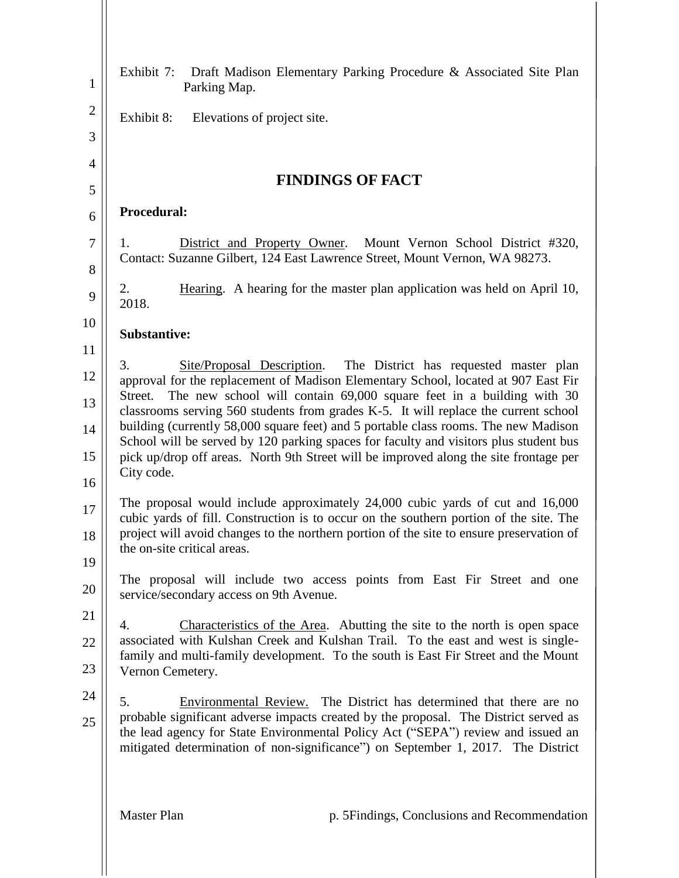| $\mathbf{1}$   | Draft Madison Elementary Parking Procedure & Associated Site Plan<br>Exhibit 7:<br>Parking Map.                                                                                                                                                              |  |  |
|----------------|--------------------------------------------------------------------------------------------------------------------------------------------------------------------------------------------------------------------------------------------------------------|--|--|
| $\overline{2}$ | Exhibit 8:<br>Elevations of project site.                                                                                                                                                                                                                    |  |  |
| 3              |                                                                                                                                                                                                                                                              |  |  |
| $\overline{4}$ |                                                                                                                                                                                                                                                              |  |  |
| 5              | <b>FINDINGS OF FACT</b>                                                                                                                                                                                                                                      |  |  |
| 6              | Procedural:                                                                                                                                                                                                                                                  |  |  |
| $\tau$<br>8    | District and Property Owner.<br>Mount Vernon School District #320,<br>Ι.<br>Contact: Suzanne Gilbert, 124 East Lawrence Street, Mount Vernon, WA 98273.                                                                                                      |  |  |
| 9              | Hearing. A hearing for the master plan application was held on April 10,<br>2.<br>2018.                                                                                                                                                                      |  |  |
| 10             | <b>Substantive:</b>                                                                                                                                                                                                                                          |  |  |
| 11             |                                                                                                                                                                                                                                                              |  |  |
| 12             | Site/Proposal Description.<br>The District has requested master plan<br>3.<br>approval for the replacement of Madison Elementary School, located at 907 East Fir                                                                                             |  |  |
| 13             | The new school will contain 69,000 square feet in a building with 30<br>Street.<br>classrooms serving 560 students from grades K-5. It will replace the current school                                                                                       |  |  |
| 14             | building (currently 58,000 square feet) and 5 portable class rooms. The new Madison<br>School will be served by 120 parking spaces for faculty and visitors plus student bus                                                                                 |  |  |
| 15             | pick up/drop off areas. North 9th Street will be improved along the site frontage per                                                                                                                                                                        |  |  |
| 16             | City code.                                                                                                                                                                                                                                                   |  |  |
| 17             | The proposal would include approximately 24,000 cubic yards of cut and 16,000<br>cubic yards of fill. Construction is to occur on the southern portion of the site. The                                                                                      |  |  |
| 18             | project will avoid changes to the northern portion of the site to ensure preservation of                                                                                                                                                                     |  |  |
| 19             | the on-site critical areas.                                                                                                                                                                                                                                  |  |  |
| 20             | The proposal will include two access points from East Fir Street and one<br>service/secondary access on 9th Avenue.                                                                                                                                          |  |  |
| 21             | Characteristics of the Area. Abutting the site to the north is open space<br>4.                                                                                                                                                                              |  |  |
| 22             | associated with Kulshan Creek and Kulshan Trail. To the east and west is single-<br>family and multi-family development. To the south is East Fir Street and the Mount                                                                                       |  |  |
| 23             | Vernon Cemetery.                                                                                                                                                                                                                                             |  |  |
| 24             | Environmental Review. The District has determined that there are no<br>5.                                                                                                                                                                                    |  |  |
| 25             | probable significant adverse impacts created by the proposal. The District served as<br>the lead agency for State Environmental Policy Act ("SEPA") review and issued an<br>mitigated determination of non-significance") on September 1, 2017. The District |  |  |
|                | <b>Master Plan</b><br>p. 5 Findings, Conclusions and Recommendation                                                                                                                                                                                          |  |  |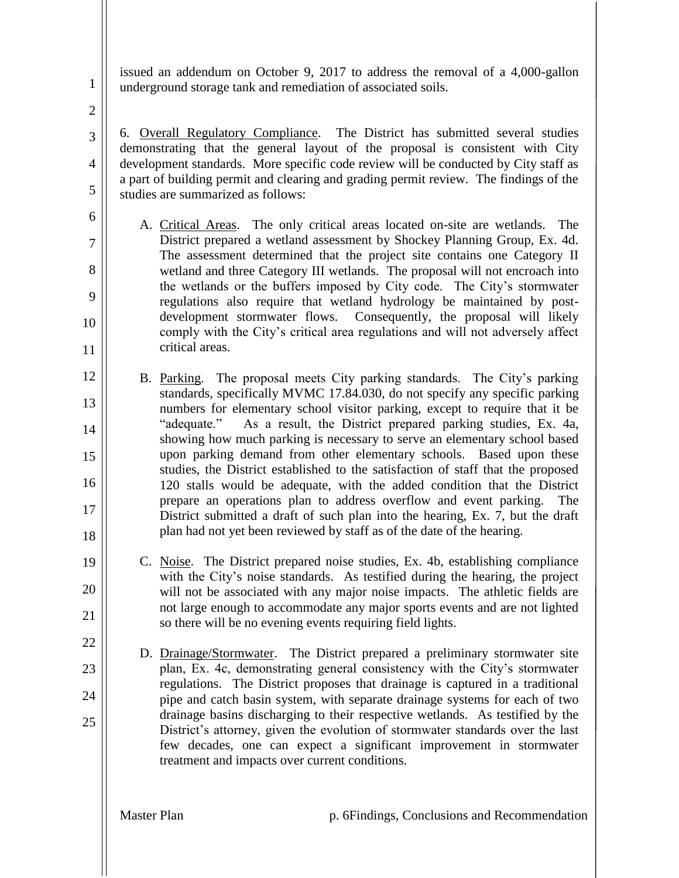issued an addendum on October 9, 2017 to address the removal of a 4,000-gallon underground storage tank and remediation of associated soils.

2

3

4

5

6

7

8

9

10

11

22

23

24

25

1

6. Overall Regulatory Compliance. The District has submitted several studies demonstrating that the general layout of the proposal is consistent with City development standards. More specific code review will be conducted by City staff as a part of building permit and clearing and grading permit review. The findings of the studies are summarized as follows:

- A. Critical Areas. The only critical areas located on-site are wetlands. The District prepared a wetland assessment by Shockey Planning Group, Ex. 4d. The assessment determined that the project site contains one Category II wetland and three Category III wetlands. The proposal will not encroach into the wetlands or the buffers imposed by City code. The City's stormwater regulations also require that wetland hydrology be maintained by postdevelopment stormwater flows. Consequently, the proposal will likely comply with the City's critical area regulations and will not adversely affect critical areas.
- 12 13 14 15 16 17 18 B. Parking. The proposal meets City parking standards. The City's parking standards, specifically MVMC 17.84.030, do not specify any specific parking numbers for elementary school visitor parking, except to require that it be "adequate." As a result, the District prepared parking studies, Ex. 4a, showing how much parking is necessary to serve an elementary school based upon parking demand from other elementary schools. Based upon these studies, the District established to the satisfaction of staff that the proposed 120 stalls would be adequate, with the added condition that the District prepare an operations plan to address overflow and event parking. The District submitted a draft of such plan into the hearing, Ex. 7, but the draft plan had not yet been reviewed by staff as of the date of the hearing.
- 19 20 21 C. Noise. The District prepared noise studies, Ex. 4b, establishing compliance with the City's noise standards. As testified during the hearing, the project will not be associated with any major noise impacts. The athletic fields are not large enough to accommodate any major sports events and are not lighted so there will be no evening events requiring field lights.
	- D. Drainage/Stormwater. The District prepared a preliminary stormwater site plan, Ex. 4c, demonstrating general consistency with the City's stormwater regulations. The District proposes that drainage is captured in a traditional pipe and catch basin system, with separate drainage systems for each of two drainage basins discharging to their respective wetlands. As testified by the District's attorney, given the evolution of stormwater standards over the last few decades, one can expect a significant improvement in stormwater treatment and impacts over current conditions.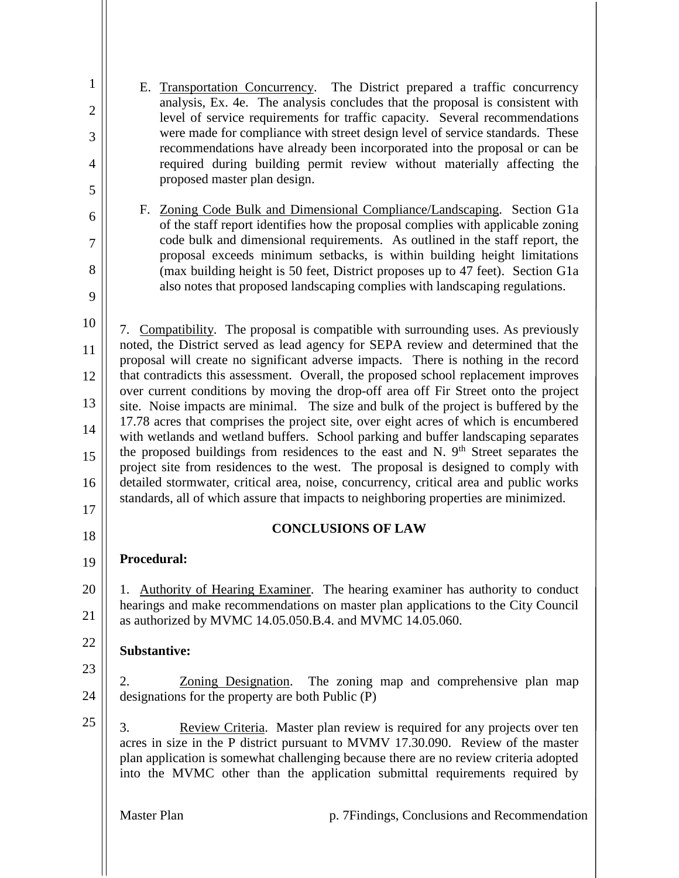| $\mathbf{1}$   | E. Transportation Concurrency. The District prepared a traffic concurrency                                                                                                                                                                                                                                                                  |  |  |
|----------------|---------------------------------------------------------------------------------------------------------------------------------------------------------------------------------------------------------------------------------------------------------------------------------------------------------------------------------------------|--|--|
| $\overline{c}$ | analysis, Ex. 4e. The analysis concludes that the proposal is consistent with<br>level of service requirements for traffic capacity. Several recommendations                                                                                                                                                                                |  |  |
| 3              | were made for compliance with street design level of service standards. These                                                                                                                                                                                                                                                               |  |  |
| 4              | recommendations have already been incorporated into the proposal or can be<br>required during building permit review without materially affecting the                                                                                                                                                                                       |  |  |
| 5              | proposed master plan design.                                                                                                                                                                                                                                                                                                                |  |  |
| 6              | F. Zoning Code Bulk and Dimensional Compliance/Landscaping. Section G1a<br>of the staff report identifies how the proposal complies with applicable zoning                                                                                                                                                                                  |  |  |
| 7              | code bulk and dimensional requirements. As outlined in the staff report, the                                                                                                                                                                                                                                                                |  |  |
| 8              | proposal exceeds minimum setbacks, is within building height limitations<br>(max building height is 50 feet, District proposes up to 47 feet). Section G1a                                                                                                                                                                                  |  |  |
| 9              | also notes that proposed landscaping complies with landscaping regulations.                                                                                                                                                                                                                                                                 |  |  |
| 10             | 7. Compatibility. The proposal is compatible with surrounding uses. As previously                                                                                                                                                                                                                                                           |  |  |
| 11             | noted, the District served as lead agency for SEPA review and determined that the<br>proposal will create no significant adverse impacts. There is nothing in the record                                                                                                                                                                    |  |  |
| 12             | that contradicts this assessment. Overall, the proposed school replacement improves                                                                                                                                                                                                                                                         |  |  |
| 13             | over current conditions by moving the drop-off area off Fir Street onto the project<br>site. Noise impacts are minimal. The size and bulk of the project is buffered by the                                                                                                                                                                 |  |  |
| 14             | 17.78 acres that comprises the project site, over eight acres of which is encumbered<br>with wetlands and wetland buffers. School parking and buffer landscaping separates                                                                                                                                                                  |  |  |
| 15             | the proposed buildings from residences to the east and N. 9 <sup>th</sup> Street separates the<br>project site from residences to the west. The proposal is designed to comply with                                                                                                                                                         |  |  |
| 16             | detailed stormwater, critical area, noise, concurrency, critical area and public works                                                                                                                                                                                                                                                      |  |  |
| 17             | standards, all of which assure that impacts to neighboring properties are minimized.                                                                                                                                                                                                                                                        |  |  |
| 18             | <b>CONCLUSIONS OF LAW</b>                                                                                                                                                                                                                                                                                                                   |  |  |
| 19             | <b>Procedural:</b>                                                                                                                                                                                                                                                                                                                          |  |  |
| 20<br>21       | 1. Authority of Hearing Examiner. The hearing examiner has authority to conduct<br>hearings and make recommendations on master plan applications to the City Council<br>as authorized by MVMC 14.05.050.B.4. and MVMC 14.05.060.                                                                                                            |  |  |
| 22             | <b>Substantive:</b>                                                                                                                                                                                                                                                                                                                         |  |  |
| 23             | 2.<br>Zoning Designation. The zoning map and comprehensive plan map                                                                                                                                                                                                                                                                         |  |  |
| 24             | designations for the property are both Public (P)                                                                                                                                                                                                                                                                                           |  |  |
| 25             | 3.<br>Review Criteria. Master plan review is required for any projects over ten<br>acres in size in the P district pursuant to MVMV 17.30.090. Review of the master<br>plan application is somewhat challenging because there are no review criteria adopted<br>into the MVMC other than the application submittal requirements required by |  |  |
|                | <b>Master Plan</b><br>p. 7Findings, Conclusions and Recommendation                                                                                                                                                                                                                                                                          |  |  |
|                |                                                                                                                                                                                                                                                                                                                                             |  |  |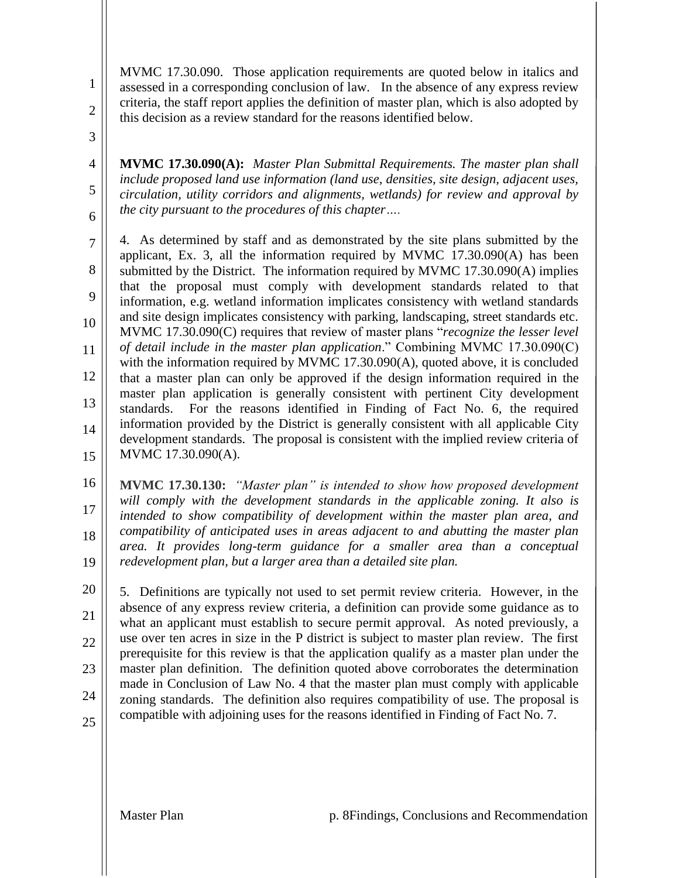MVMC 17.30.090. Those application requirements are quoted below in italics and assessed in a corresponding conclusion of law. In the absence of any express review criteria, the staff report applies the definition of master plan, which is also adopted by this decision as a review standard for the reasons identified below.

3

4

5

6

1

2

**MVMC 17.30.090(A):** *Master Plan Submittal Requirements. The master plan shall include proposed land use information (land use, densities, site design, adjacent uses, circulation, utility corridors and alignments, wetlands) for review and approval by the city pursuant to the procedures of this chapter….*

7 8 9 10 11 12 13 14 15 4. As determined by staff and as demonstrated by the site plans submitted by the applicant, Ex. 3, all the information required by MVMC 17.30.090(A) has been submitted by the District. The information required by MVMC 17.30.090(A) implies that the proposal must comply with development standards related to that information, e.g. wetland information implicates consistency with wetland standards and site design implicates consistency with parking, landscaping, street standards etc. MVMC 17.30.090(C) requires that review of master plans "*recognize the lesser level of detail include in the master plan application*." Combining MVMC 17.30.090(C) with the information required by MVMC 17.30.090(A), quoted above, it is concluded that a master plan can only be approved if the design information required in the master plan application is generally consistent with pertinent City development standards. For the reasons identified in Finding of Fact No. 6, the required information provided by the District is generally consistent with all applicable City development standards. The proposal is consistent with the implied review criteria of MVMC 17.30.090(A).

16 17 18 19 **MVMC 17.30.130:** *"Master plan" is intended to show how proposed development will comply with the development standards in the applicable zoning. It also is intended to show compatibility of development within the master plan area, and compatibility of anticipated uses in areas adjacent to and abutting the master plan area. It provides long-term guidance for a smaller area than a conceptual redevelopment plan, but a larger area than a detailed site plan.*

20 21 22 23 24 5. Definitions are typically not used to set permit review criteria. However, in the absence of any express review criteria, a definition can provide some guidance as to what an applicant must establish to secure permit approval. As noted previously, a use over ten acres in size in the P district is subject to master plan review. The first prerequisite for this review is that the application qualify as a master plan under the master plan definition. The definition quoted above corroborates the determination made in Conclusion of Law No. 4 that the master plan must comply with applicable zoning standards. The definition also requires compatibility of use. The proposal is compatible with adjoining uses for the reasons identified in Finding of Fact No. 7.

25